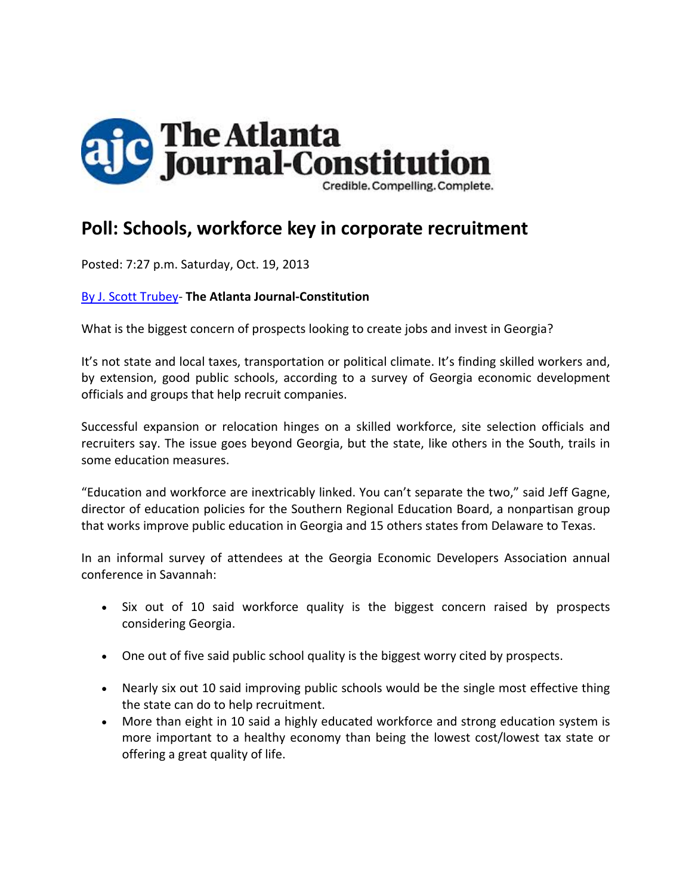

# **Poll: Schools, workforce key in corporate recruitment**

Posted: 7:27 p.m. Saturday, Oct. 19, 2013

#### By J. Scott Trubey‐ **The Atlanta Journal‐Constitution**

What is the biggest concern of prospects looking to create jobs and invest in Georgia?

It's not state and local taxes, transportation or political climate. It's finding skilled workers and, by extension, good public schools, according to a survey of Georgia economic development officials and groups that help recruit companies.

Successful expansion or relocation hinges on a skilled workforce, site selection officials and recruiters say. The issue goes beyond Georgia, but the state, like others in the South, trails in some education measures.

"Education and workforce are inextricably linked. You can't separate the two," said Jeff Gagne, director of education policies for the Southern Regional Education Board, a nonpartisan group that works improve public education in Georgia and 15 others states from Delaware to Texas.

In an informal survey of attendees at the Georgia Economic Developers Association annual conference in Savannah:

- Six out of 10 said workforce quality is the biggest concern raised by prospects considering Georgia.
- One out of five said public school quality is the biggest worry cited by prospects.
- Nearly six out 10 said improving public schools would be the single most effective thing the state can do to help recruitment.
- More than eight in 10 said a highly educated workforce and strong education system is more important to a healthy economy than being the lowest cost/lowest tax state or offering a great quality of life.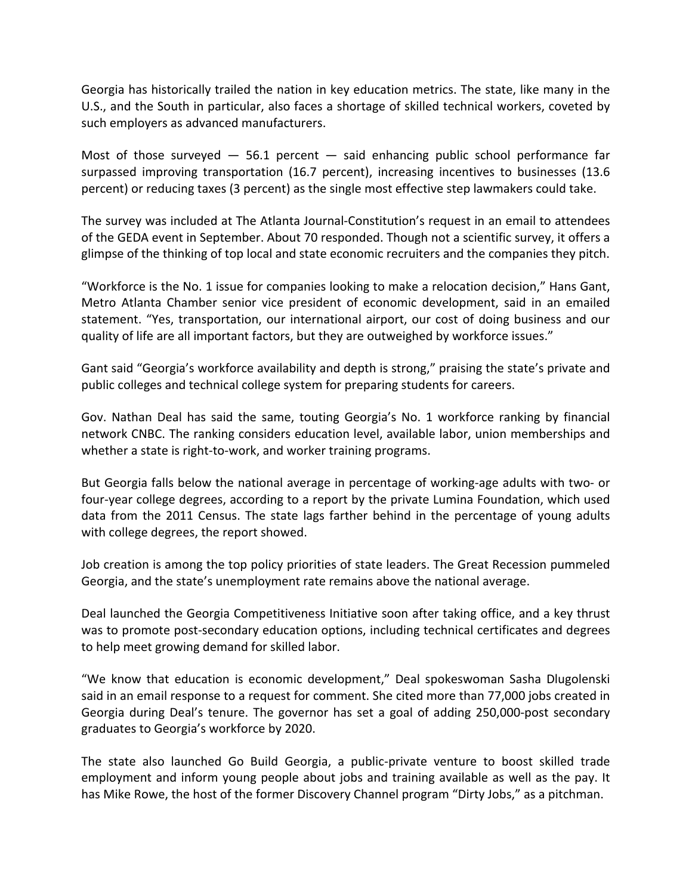Georgia has historically trailed the nation in key education metrics. The state, like many in the U.S., and the South in particular, also faces a shortage of skilled technical workers, coveted by such employers as advanced manufacturers.

Most of those surveyed  $-$  56.1 percent  $-$  said enhancing public school performance far surpassed improving transportation (16.7 percent), increasing incentives to businesses (13.6 percent) or reducing taxes (3 percent) as the single most effective step lawmakers could take.

The survey was included at The Atlanta Journal‐Constitution's request in an email to attendees of the GEDA event in September. About 70 responded. Though not a scientific survey, it offers a glimpse of the thinking of top local and state economic recruiters and the companies they pitch.

"Workforce is the No. 1 issue for companies looking to make a relocation decision," Hans Gant, Metro Atlanta Chamber senior vice president of economic development, said in an emailed statement. "Yes, transportation, our international airport, our cost of doing business and our quality of life are all important factors, but they are outweighed by workforce issues."

Gant said "Georgia's workforce availability and depth is strong," praising the state's private and public colleges and technical college system for preparing students for careers.

Gov. Nathan Deal has said the same, touting Georgia's No. 1 workforce ranking by financial network CNBC. The ranking considers education level, available labor, union memberships and whether a state is right-to-work, and worker training programs.

But Georgia falls below the national average in percentage of working‐age adults with two‐ or four-year college degrees, according to a report by the private Lumina Foundation, which used data from the 2011 Census. The state lags farther behind in the percentage of young adults with college degrees, the report showed.

Job creation is among the top policy priorities of state leaders. The Great Recession pummeled Georgia, and the state's unemployment rate remains above the national average.

Deal launched the Georgia Competitiveness Initiative soon after taking office, and a key thrust was to promote post-secondary education options, including technical certificates and degrees to help meet growing demand for skilled labor.

"We know that education is economic development," Deal spokeswoman Sasha Dlugolenski said in an email response to a request for comment. She cited more than 77,000 jobs created in Georgia during Deal's tenure. The governor has set a goal of adding 250,000‐post secondary graduates to Georgia's workforce by 2020.

The state also launched Go Build Georgia, a public‐private venture to boost skilled trade employment and inform young people about jobs and training available as well as the pay. It has Mike Rowe, the host of the former Discovery Channel program "Dirty Jobs," as a pitchman.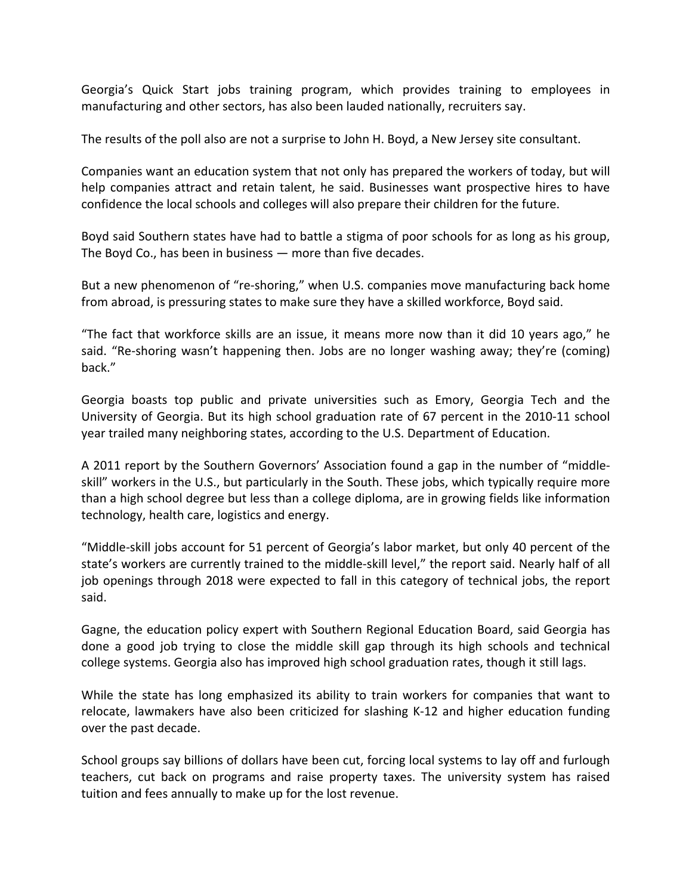Georgia's Quick Start jobs training program, which provides training to employees in manufacturing and other sectors, has also been lauded nationally, recruiters say.

The results of the poll also are not a surprise to John H. Boyd, a New Jersey site consultant.

Companies want an education system that not only has prepared the workers of today, but will help companies attract and retain talent, he said. Businesses want prospective hires to have confidence the local schools and colleges will also prepare their children for the future.

Boyd said Southern states have had to battle a stigma of poor schools for as long as his group, The Boyd Co., has been in business — more than five decades.

But a new phenomenon of "re-shoring," when U.S. companies move manufacturing back home from abroad, is pressuring states to make sure they have a skilled workforce, Boyd said.

"The fact that workforce skills are an issue, it means more now than it did 10 years ago," he said. "Re-shoring wasn't happening then. Jobs are no longer washing away; they're (coming) back."

Georgia boasts top public and private universities such as Emory, Georgia Tech and the University of Georgia. But its high school graduation rate of 67 percent in the 2010‐11 school year trailed many neighboring states, according to the U.S. Department of Education.

A 2011 report by the Southern Governors' Association found a gap in the number of "middle‐ skill" workers in the U.S., but particularly in the South. These jobs, which typically require more than a high school degree but less than a college diploma, are in growing fields like information technology, health care, logistics and energy.

"Middle‐skill jobs account for 51 percent of Georgia's labor market, but only 40 percent of the state's workers are currently trained to the middle‐skill level," the report said. Nearly half of all job openings through 2018 were expected to fall in this category of technical jobs, the report said.

Gagne, the education policy expert with Southern Regional Education Board, said Georgia has done a good job trying to close the middle skill gap through its high schools and technical college systems. Georgia also has improved high school graduation rates, though it still lags.

While the state has long emphasized its ability to train workers for companies that want to relocate, lawmakers have also been criticized for slashing K‐12 and higher education funding over the past decade.

School groups say billions of dollars have been cut, forcing local systems to lay off and furlough teachers, cut back on programs and raise property taxes. The university system has raised tuition and fees annually to make up for the lost revenue.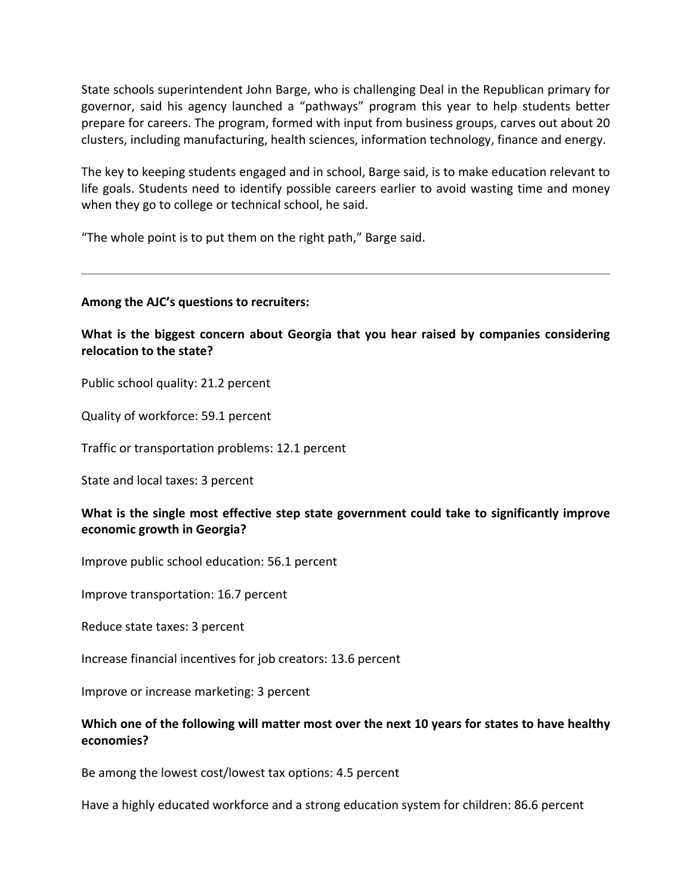State schools superintendent John Barge, who is challenging Deal in the Republican primary for governor, said his agency launched a "pathways" program this year to help students better prepare for careers. The program, formed with input from business groups, carves out about 20 clusters, including manufacturing, health sciences, information technology, finance and energy.

The key to keeping students engaged and in school, Barge said, is to make education relevant to life goals. Students need to identify possible careers earlier to avoid wasting time and money when they go to college or technical school, he said.

"The whole point is to put them on the right path," Barge said.

#### **Among the AJC's questions to recruiters:**

**What is the biggest concern about Georgia that you hear raised by companies considering relocation to the state?**

Public school quality: 21.2 percent

Quality of workforce: 59.1 percent

Traffic or transportation problems: 12.1 percent

State and local taxes: 3 percent

## **What is the single most effective step state government could take to significantly improve economic growth in Georgia?**

Improve public school education: 56.1 percent

Improve transportation: 16.7 percent

Reduce state taxes: 3 percent

Increase financial incentives for job creators: 13.6 percent

Improve or increase marketing: 3 percent

## **Which one of the following will matter most over the next 10 years for states to have healthy economies?**

Be among the lowest cost/lowest tax options: 4.5 percent

Have a highly educated workforce and a strong education system for children: 86.6 percent